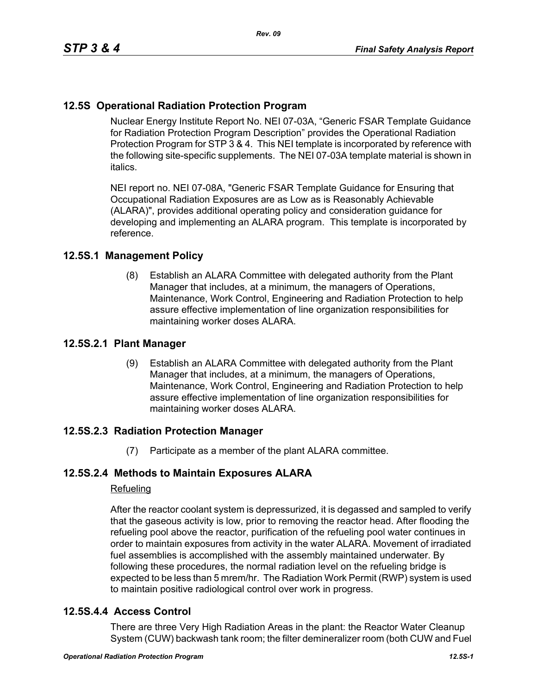# **12.5S Operational Radiation Protection Program**

Nuclear Energy Institute Report No. NEI 07-03A, "Generic FSAR Template Guidance for Radiation Protection Program Description" provides the Operational Radiation Protection Program for STP 3 & 4. This NEI template is incorporated by reference with the following site-specific supplements. The NEI 07-03A template material is shown in italics.

NEI report no. NEI 07-08A, "Generic FSAR Template Guidance for Ensuring that Occupational Radiation Exposures are as Low as is Reasonably Achievable (ALARA)", provides additional operating policy and consideration guidance for developing and implementing an ALARA program. This template is incorporated by reference.

## **12.5S.1 Management Policy**

(8) Establish an ALARA Committee with delegated authority from the Plant Manager that includes, at a minimum, the managers of Operations, Maintenance, Work Control, Engineering and Radiation Protection to help assure effective implementation of line organization responsibilities for maintaining worker doses ALARA.

## **12.5S.2.1 Plant Manager**

(9) Establish an ALARA Committee with delegated authority from the Plant Manager that includes, at a minimum, the managers of Operations, Maintenance, Work Control, Engineering and Radiation Protection to help assure effective implementation of line organization responsibilities for maintaining worker doses ALARA.

## **12.5S.2.3 Radiation Protection Manager**

(7) Participate as a member of the plant ALARA committee.

## **12.5S.2.4 Methods to Maintain Exposures ALARA**

#### Refueling

After the reactor coolant system is depressurized, it is degassed and sampled to verify that the gaseous activity is low, prior to removing the reactor head. After flooding the refueling pool above the reactor, purification of the refueling pool water continues in order to maintain exposures from activity in the water ALARA. Movement of irradiated fuel assemblies is accomplished with the assembly maintained underwater. By following these procedures, the normal radiation level on the refueling bridge is expected to be less than 5 mrem/hr. The Radiation Work Permit (RWP) system is used to maintain positive radiological control over work in progress.

## **12.5S.4.4 Access Control**

There are three Very High Radiation Areas in the plant: the Reactor Water Cleanup System (CUW) backwash tank room; the filter demineralizer room (both CUW and Fuel